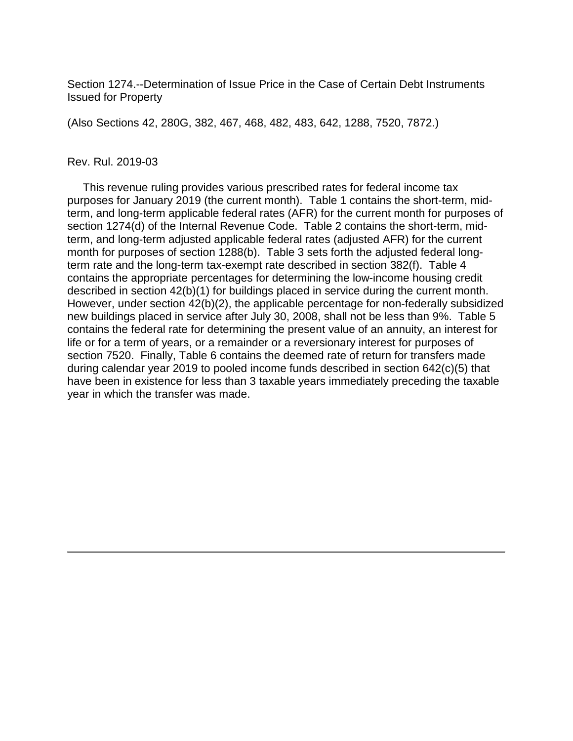Section 1274.--Determination of Issue Price in the Case of Certain Debt Instruments Issued for Property

(Also Sections 42, 280G, 382, 467, 468, 482, 483, 642, 1288, 7520, 7872.)

#### Rev. Rul. 2019-03

 This revenue ruling provides various prescribed rates for federal income tax purposes for January 2019 (the current month). Table 1 contains the short-term, midterm, and long-term applicable federal rates (AFR) for the current month for purposes of section 1274(d) of the Internal Revenue Code. Table 2 contains the short-term, midterm, and long-term adjusted applicable federal rates (adjusted AFR) for the current month for purposes of section 1288(b). Table 3 sets forth the adjusted federal longterm rate and the long-term tax-exempt rate described in section 382(f). Table 4 contains the appropriate percentages for determining the low-income housing credit described in section 42(b)(1) for buildings placed in service during the current month. However, under section 42(b)(2), the applicable percentage for non-federally subsidized new buildings placed in service after July 30, 2008, shall not be less than 9%. Table 5 contains the federal rate for determining the present value of an annuity, an interest for life or for a term of years, or a remainder or a reversionary interest for purposes of section 7520. Finally, Table 6 contains the deemed rate of return for transfers made during calendar year 2019 to pooled income funds described in section 642(c)(5) that have been in existence for less than 3 taxable years immediately preceding the taxable year in which the transfer was made.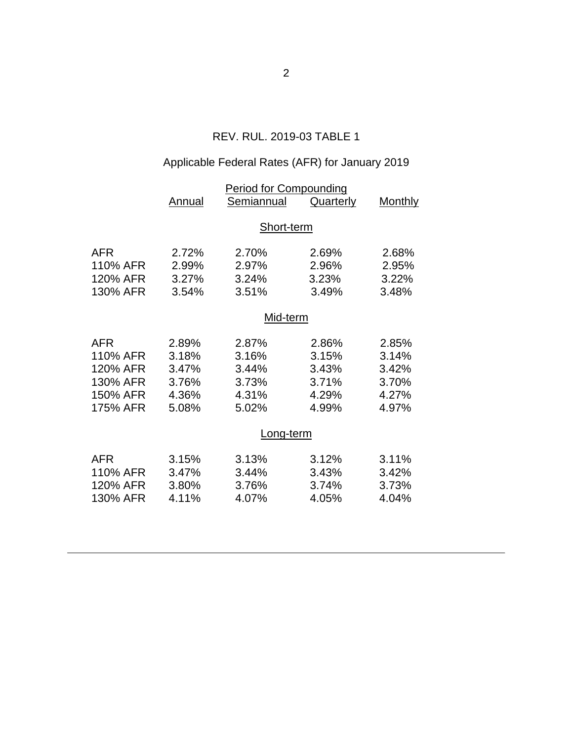## REV. RUL. 2019-03 TABLE 1

# Applicable Federal Rates (AFR) for January 2019

|                                                                        |                                                    | <b>Period for Compounding</b>                      |                                                    |                                                    |
|------------------------------------------------------------------------|----------------------------------------------------|----------------------------------------------------|----------------------------------------------------|----------------------------------------------------|
|                                                                        | Annual                                             | Semiannual                                         | <b>Quarterly</b>                                   | <b>Monthly</b>                                     |
|                                                                        | Short-term                                         |                                                    |                                                    |                                                    |
| <b>AFR</b><br>110% AFR<br>120% AFR<br>130% AFR                         | 2.72%<br>2.99%<br>3.27%<br>3.54%                   | 2.70%<br>2.97%<br>3.24%<br>3.51%                   | 2.69%<br>2.96%<br>3.23%<br>3.49%                   | 2.68%<br>2.95%<br>3.22%<br>3.48%                   |
|                                                                        | Mid-term                                           |                                                    |                                                    |                                                    |
| <b>AFR</b><br>110% AFR<br>120% AFR<br>130% AFR<br>150% AFR<br>175% AFR | 2.89%<br>3.18%<br>3.47%<br>3.76%<br>4.36%<br>5.08% | 2.87%<br>3.16%<br>3.44%<br>3.73%<br>4.31%<br>5.02% | 2.86%<br>3.15%<br>3.43%<br>3.71%<br>4.29%<br>4.99% | 2.85%<br>3.14%<br>3.42%<br>3.70%<br>4.27%<br>4.97% |
|                                                                        | Long-term                                          |                                                    |                                                    |                                                    |
| <b>AFR</b><br>110% AFR<br>120% AFR<br>130% AFR                         | 3.15%<br>3.47%<br>3.80%<br>4.11%                   | 3.13%<br>3.44%<br>3.76%<br>4.07%                   | 3.12%<br>3.43%<br>3.74%<br>4.05%                   | 3.11%<br>3.42%<br>3.73%<br>4.04%                   |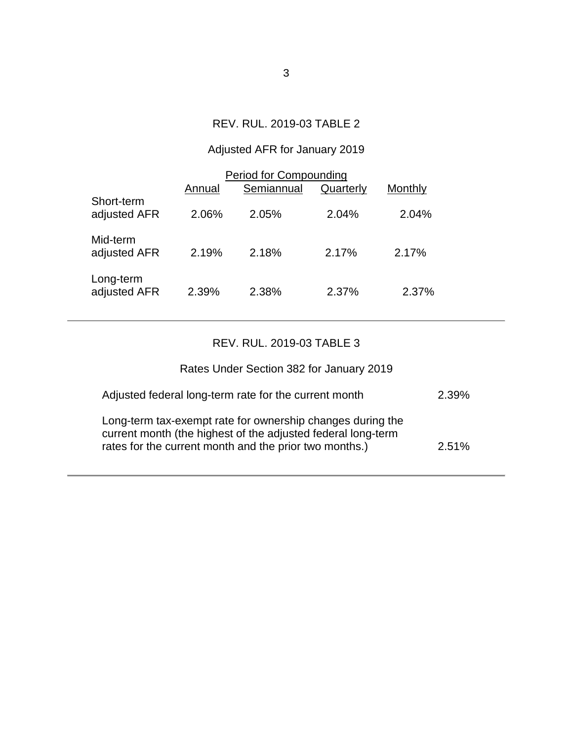## REV. RUL. 2019-03 TABLE 2

# Adjusted AFR for January 2019

| <b>Period for Compounding</b> |        |            |           |         |  |  |
|-------------------------------|--------|------------|-----------|---------|--|--|
|                               | Annual | Semiannual | Quarterly | Monthly |  |  |
| Short-term<br>adjusted AFR    | 2.06%  | 2.05%      | 2.04%     | 2.04%   |  |  |
| Mid-term<br>adjusted AFR      | 2.19%  | 2.18%      | 2.17%     | 2.17%   |  |  |
| Long-term<br>adjusted AFR     | 2.39%  | 2.38%      | 2.37%     | 2.37%   |  |  |

## REV. RUL. 2019-03 TABLE 3

| Rates Under Section 382 for January 2019                                                                                                                                             |          |
|--------------------------------------------------------------------------------------------------------------------------------------------------------------------------------------|----------|
| Adjusted federal long-term rate for the current month                                                                                                                                | $2.39\%$ |
| Long-term tax-exempt rate for ownership changes during the<br>current month (the highest of the adjusted federal long-term<br>rates for the current month and the prior two months.) | $2.51\%$ |